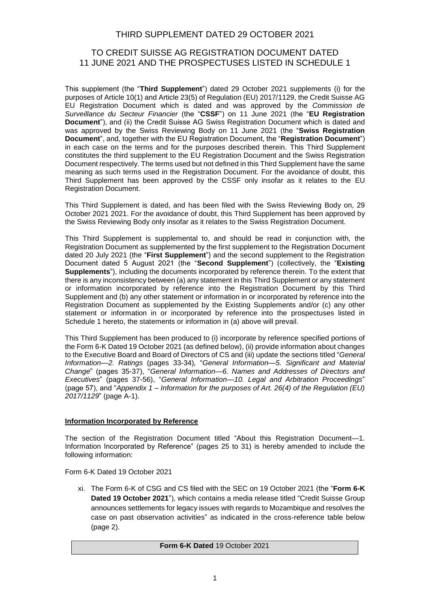# THIRD SUPPLEMENT DATED 29 OCTOBER 2021

# TO CREDIT SUISSE AG REGISTRATION DOCUMENT DATED 11 JUNE 2021 AND THE PROSPECTUSES LISTED IN SCHEDULE 1

This supplement (the "**Third Supplement**") dated 29 October 2021 supplements (i) for the purposes of Article 10(1) and Article 23(5) of Regulation (EU) 2017/1129, the Credit Suisse AG EU Registration Document which is dated and was approved by the *Commission de Surveillance du Secteur Financier* (the "**CSSF**") on 11 June 2021 (the "**EU Registration Document**"), and (ii) the Credit Suisse AG Swiss Registration Document which is dated and was approved by the Swiss Reviewing Body on 11 June 2021 (the "**Swiss Registration Document**", and, together with the EU Registration Document, the "**Registration Document**") in each case on the terms and for the purposes described therein. This Third Supplement constitutes the third supplement to the EU Registration Document and the Swiss Registration Document respectively. The terms used but not defined in this Third Supplement have the same meaning as such terms used in the Registration Document. For the avoidance of doubt, this Third Supplement has been approved by the CSSF only insofar as it relates to the EU Registration Document.

This Third Supplement is dated, and has been filed with the Swiss Reviewing Body on, 29 October 2021 2021. For the avoidance of doubt, this Third Supplement has been approved by the Swiss Reviewing Body only insofar as it relates to the Swiss Registration Document.

This Third Supplement is supplemental to, and should be read in conjunction with, the Registration Document as supplemented by the first supplement to the Registration Document dated 20 July 2021 (the "**First Supplement**") and the second supplement to the Registration Document dated 5 August 2021 (the "**Second Supplement**") (collectively, the "**Existing Supplements**"), including the documents incorporated by reference therein. To the extent that there is any inconsistency between (a) any statement in this Third Supplement or any statement or information incorporated by reference into the Registration Document by this Third Supplement and (b) any other statement or information in or incorporated by reference into the Registration Document as supplemented by the Existing Supplements and/or (c) any other statement or information in or incorporated by reference into the prospectuses listed in Schedule 1 hereto, the statements or information in (a) above will prevail.

This Third Supplement has been produced to (i) incorporate by reference specified portions of the Form 6-K Dated 19 October 2021 (as defined below), (ii) provide information about changes to the Executive Board and Board of Directors of CS and (iii) update the sections titled "*General Information—2. Ratings* (pages 33-34)*,* "*General Information—5. Significant and Material Change*" (pages 35-37), "*General Information—6. Names and Addresses of Directors and Executives*" (pages 37-56), "*General Information—10. Legal and Arbitration Proceedings*" (page 57), and "*Appendix 1 – Information for the purposes of Art. 26(4) of the Regulation (EU) 2017/1129*" (page A-1).

# **Information Incorporated by Reference**

The section of the Registration Document titled "About this Registration Document—1. Information Incorporated by Reference" (pages 25 to 31) is hereby amended to include the following information:

Form 6-K Dated 19 October 2021

xi. The Form 6-K of CSG and CS filed with the SEC on 19 October 2021 (the "**Form 6-K Dated 19 October 2021**"), which contains a media release titled "Credit Suisse Group announces settlements for legacy issues with regards to Mozambique and resolves the case on past observation activities" as indicated in the cross-reference table below (page 2).

## **Form 6-K Dated** 19 October 2021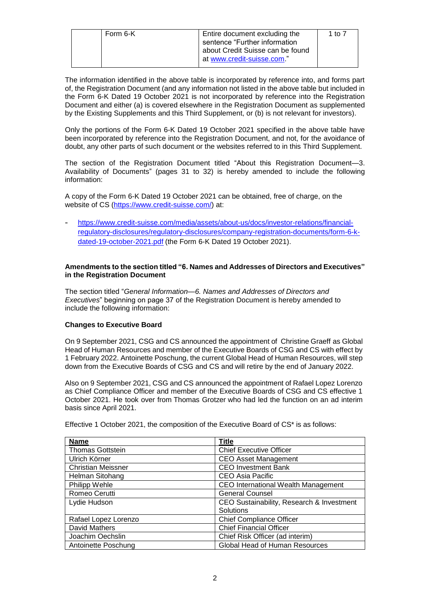| Form 6-K | Entire document excluding the<br>sentence "Further information<br>about Credit Suisse can be found<br>at www.credit-suisse.com." | 1 to 7 |
|----------|----------------------------------------------------------------------------------------------------------------------------------|--------|
|----------|----------------------------------------------------------------------------------------------------------------------------------|--------|

The information identified in the above table is incorporated by reference into, and forms part of, the Registration Document (and any information not listed in the above table but included in the Form 6-K Dated 19 October 2021 is not incorporated by reference into the Registration Document and either (a) is covered elsewhere in the Registration Document as supplemented by the Existing Supplements and this Third Supplement, or (b) is not relevant for investors).

Only the portions of the Form 6-K Dated 19 October 2021 specified in the above table have been incorporated by reference into the Registration Document, and not, for the avoidance of doubt, any other parts of such document or the websites referred to in this Third Supplement.

The section of the Registration Document titled "About this Registration Document—3. Availability of Documents" (pages 31 to 32) is hereby amended to include the following information:

A copy of the Form 6-K Dated 19 October 2021 can be obtained, free of charge, on the website of CS [\(https://www.credit-suisse.com/\)](https://www.credit-suisse.com/) at:

- [https://www.credit-suisse.com/media/assets/about-us/docs/investor-relations/financial](https://www.credit-suisse.com/media/assets/about-us/docs/investor-relations/financial-regulatory-disclosures/regulatory-disclosures/company-registration-documents/form-6-k-dated-19-october-2021.pdf)[regulatory-disclosures/regulatory-disclosures/company-registration-documents/form-6-k](https://www.credit-suisse.com/media/assets/about-us/docs/investor-relations/financial-regulatory-disclosures/regulatory-disclosures/company-registration-documents/form-6-k-dated-19-october-2021.pdf)[dated-19-october-2021.pdf](https://www.credit-suisse.com/media/assets/about-us/docs/investor-relations/financial-regulatory-disclosures/regulatory-disclosures/company-registration-documents/form-6-k-dated-19-october-2021.pdf) (the Form 6-K Dated 19 October 2021).

## **Amendments to the section titled "6. Names and Addresses of Directors and Executives" in the Registration Document**

The section titled "*General Information—6. Names and Addresses of Directors and Executives*" beginning on page 37 of the Registration Document is hereby amended to include the following information:

# **Changes to Executive Board**

On 9 September 2021, CSG and CS announced the appointment of Christine Graeff as Global Head of Human Resources and member of the Executive Boards of CSG and CS with effect by 1 February 2022. Antoinette Poschung, the current Global Head of Human Resources, will step down from the Executive Boards of CSG and CS and will retire by the end of January 2022.

Also on 9 September 2021, CSG and CS announced the appointment of Rafael Lopez Lorenzo as Chief Compliance Officer and member of the Executive Boards of CSG and CS effective 1 October 2021. He took over from Thomas Grotzer who had led the function on an ad interim basis since April 2021.

| <b>Name</b>               | Title                                      |
|---------------------------|--------------------------------------------|
| <b>Thomas Gottstein</b>   | <b>Chief Executive Officer</b>             |
| Ulrich Körner             | <b>CEO Asset Management</b>                |
| <b>Christian Meissner</b> | <b>CEO Investment Bank</b>                 |
| Helman Sitohang           | <b>CEO Asia Pacific</b>                    |
| Philipp Wehle             | <b>CEO International Wealth Management</b> |
| Romeo Cerutti             | <b>General Counsel</b>                     |
| Lydie Hudson              | CEO Sustainability, Research & Investment  |
|                           | Solutions                                  |
| Rafael Lopez Lorenzo      | <b>Chief Compliance Officer</b>            |
| David Mathers             | <b>Chief Financial Officer</b>             |
| Joachim Oechslin          | Chief Risk Officer (ad interim)            |
| Antoinette Poschung       | <b>Global Head of Human Resources</b>      |

Effective 1 October 2021, the composition of the Executive Board of CS\* is as follows: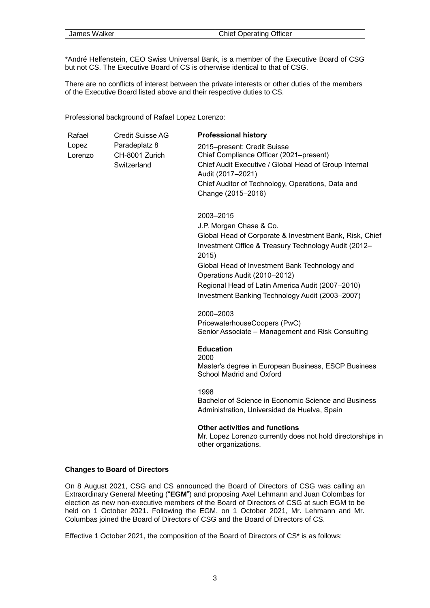|--|

\*André Helfenstein, CEO Swiss Universal Bank, is a member of the Executive Board of CSG but not CS. The Executive Board of CS is otherwise identical to that of CSG.

There are no conflicts of interest between the private interests or other duties of the members of the Executive Board listed above and their respective duties to CS.

Professional background of Rafael Lopez Lorenzo:

| Rafael  | <b>Credit Suisse AG</b> | <b>Professional history</b>                           |
|---------|-------------------------|-------------------------------------------------------|
| Lopez   | Paradeplatz 8           | 2015–present: Credit Suisse                           |
| Lorenzo | CH-8001 Zurich          | Chief Compliance Officer (2021–present)               |
|         | Switzerland             | Chief Audit Executive / Global Head of Group Internal |
|         |                         | Audit (2017-2021)                                     |
|         |                         | Chief Auditor of Technology, Operations, Data and     |
|         |                         | Change (2015-2016)                                    |

2003–2015

J.P. Morgan Chase & Co. Global Head of Corporate & Investment Bank, Risk, Chief Investment Office & Treasury Technology Audit (2012– 2015) Global Head of Investment Bank Technology and Operations Audit (2010–2012) Regional Head of Latin America Audit (2007–2010) Investment Banking Technology Audit (2003–2007)

2000–2003

PricewaterhouseCoopers (PwC) Senior Associate – Management and Risk Consulting

**Education**

2000 Master's degree in European Business, ESCP Business School Madrid and Oxford

1998

Bachelor of Science in Economic Science and Business Administration, Universidad de Huelva, Spain

#### **Other activities and functions**

Mr. Lopez Lorenzo currently does not hold directorships in other organizations.

#### **Changes to Board of Directors**

On 8 August 2021, CSG and CS announced the Board of Directors of CSG was calling an Extraordinary General Meeting ("**EGM**") and proposing Axel Lehmann and Juan Colombas for election as new non-executive members of the Board of Directors of CSG at such EGM to be held on 1 October 2021. Following the EGM, on 1 October 2021, Mr. Lehmann and Mr. Columbas joined the Board of Directors of CSG and the Board of Directors of CS.

Effective 1 October 2021, the composition of the Board of Directors of CS\* is as follows: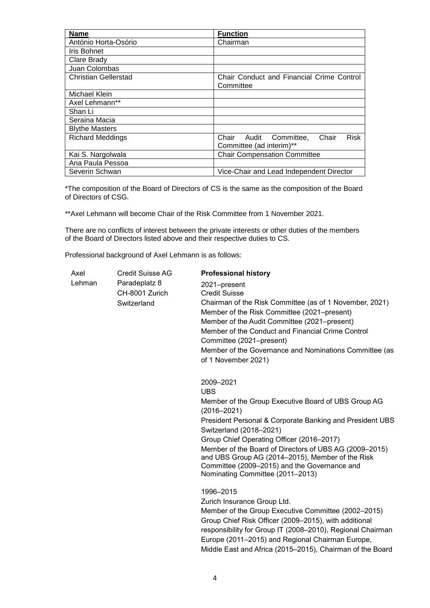| <b>Name</b>                 | <b>Function</b>                                                                  |  |  |
|-----------------------------|----------------------------------------------------------------------------------|--|--|
| António Horta-Osório        | Chairman                                                                         |  |  |
| Iris Bohnet                 |                                                                                  |  |  |
| Clare Brady                 |                                                                                  |  |  |
| Juan Colombas               |                                                                                  |  |  |
| <b>Christian Gellerstad</b> | Chair Conduct and Financial Crime Control<br>Committee                           |  |  |
| Michael Klein               |                                                                                  |  |  |
| Axel Lehmann**              |                                                                                  |  |  |
| Shan Li                     |                                                                                  |  |  |
| Seraina Macia               |                                                                                  |  |  |
| <b>Blythe Masters</b>       |                                                                                  |  |  |
| <b>Richard Meddings</b>     | Chair<br><b>Risk</b><br>Chair<br>Audit<br>Committee,<br>Committee (ad interim)** |  |  |
| Kai S. Nargolwala           | <b>Chair Compensation Committee</b>                                              |  |  |
| Ana Paula Pessoa            |                                                                                  |  |  |
| Severin Schwan              | Vice-Chair and Lead Independent Director                                         |  |  |

\*The composition of the Board of Directors of CS is the same as the composition of the Board of Directors of CSG.

\*\*Axel Lehmann will become Chair of the Risk Committee from 1 November 2021.

There are no conflicts of interest between the private interests or other duties of the members of the Board of Directors listed above and their respective duties to CS.

Professional background of Axel Lehmann is as follows:

| Axel   | Credit Suisse AG | <b>Professional history</b>                                                                                         |
|--------|------------------|---------------------------------------------------------------------------------------------------------------------|
| Lehman | Paradeplatz 8    | 2021-present                                                                                                        |
|        | CH-8001 Zurich   | <b>Credit Suisse</b>                                                                                                |
|        | Switzerland      | Chairman of the Risk Committee (as of 1 November, 2021)                                                             |
|        |                  | Member of the Risk Committee (2021–present)                                                                         |
|        |                  | Member of the Audit Committee (2021–present)                                                                        |
|        |                  | Member of the Conduct and Financial Crime Control                                                                   |
|        |                  | Committee (2021–present)                                                                                            |
|        |                  | Member of the Governance and Nominations Committee (as                                                              |
|        |                  | of 1 November 2021)                                                                                                 |
|        |                  | 2009-2021                                                                                                           |
|        |                  | <b>UBS</b>                                                                                                          |
|        |                  | Member of the Group Executive Board of UBS Group AG<br>$(2016 - 2021)$                                              |
|        |                  | President Personal & Corporate Banking and President UBS<br>Switzerland (2018-2021)                                 |
|        |                  | Group Chief Operating Officer (2016-2017)                                                                           |
|        |                  | Member of the Board of Directors of UBS AG (2009-2015)                                                              |
|        |                  | and UBS Group AG (2014–2015), Member of the Risk                                                                    |
|        |                  | Committee (2009-2015) and the Governance and                                                                        |
|        |                  | Nominating Committee (2011-2013)                                                                                    |
|        |                  | 1996-2015                                                                                                           |
|        |                  | Zurich Insurance Group Ltd.                                                                                         |
|        |                  | Member of the Group Executive Committee (2002-2015)                                                                 |
|        |                  | Group Chief Risk Officer (2009–2015), with additional<br>responsibility for Group IT (2008-2010), Regional Chairman |
|        |                  | Europe (2011-2015) and Regional Chairman Europe,                                                                    |
|        |                  | Middle East and Africa (2015-2015), Chairman of the Board                                                           |
|        |                  |                                                                                                                     |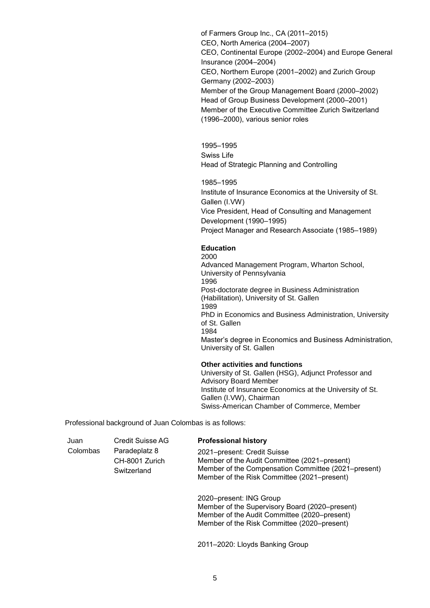of Farmers Group Inc., CA (2011–2015) CEO, North America (2004–2007) CEO, Continental Europe (2002–2004) and Europe General Insurance (2004–2004) CEO, Northern Europe (2001–2002) and Zurich Group Germany (2002–2003) Member of the Group Management Board (2000–2002) Head of Group Business Development (2000–2001) Member of the Executive Committee Zurich Switzerland (1996–2000), various senior roles

1995–1995 Swiss Life Head of Strategic Planning and Controlling

1985–1995 Institute of Insurance Economics at the University of St. Gallen (I.VW) Vice President, Head of Consulting and Management Development (1990–1995) Project Manager and Research Associate (1985–1989)

## **Education**

2000 Advanced Management Program, Wharton School, University of Pennsylvania 1996 Post-doctorate degree in Business Administration (Habilitation), University of St. Gallen 1989 PhD in Economics and Business Administration, University of St. Gallen 1984 Master's degree in Economics and Business Administration, University of St. Gallen

# **Other activities and functions**

University of St. Gallen (HSG), Adjunct Professor and Advisory Board Member Institute of Insurance Economics at the University of St. Gallen (I.VW), Chairman Swiss-American Chamber of Commerce, Member

Professional background of Juan Colombas is as follows:

| Juan     | Credit Suisse AG                               | <b>Professional history</b>                                                                                                                                                       |
|----------|------------------------------------------------|-----------------------------------------------------------------------------------------------------------------------------------------------------------------------------------|
| Colombas | Paradeplatz 8<br>CH-8001 Zurich<br>Switzerland | 2021-present: Credit Suisse<br>Member of the Audit Committee (2021–present)<br>Member of the Compensation Committee (2021–present)<br>Member of the Risk Committee (2021–present) |
|          |                                                | 2020-present: ING Group                                                                                                                                                           |

Member of the Supervisory Board (2020–present) Member of the Audit Committee (2020–present) Member of the Risk Committee (2020–present)

2011–2020: Lloyds Banking Group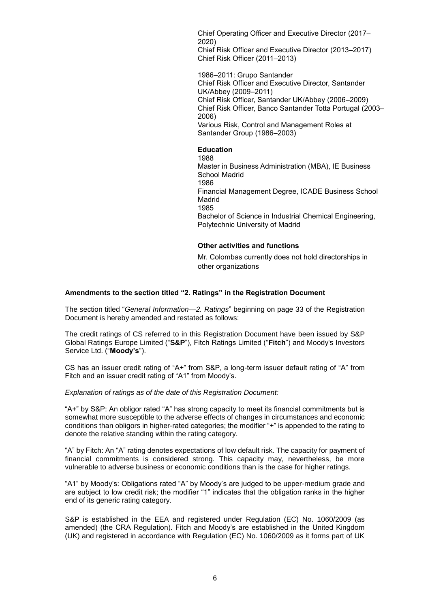Chief Operating Officer and Executive Director (2017– 2020) Chief Risk Officer and Executive Director (2013–2017) Chief Risk Officer (2011–2013)

1986–2011: Grupo Santander Chief Risk Officer and Executive Director, Santander UK/Abbey (2009–2011) Chief Risk Officer, Santander UK/Abbey (2006–2009) Chief Risk Officer, Banco Santander Totta Portugal (2003– 2006) Various Risk, Control and Management Roles at Santander Group (1986–2003)

**Education**

1988 Master in Business Administration (MBA), IE Business School Madrid 1986 Financial Management Degree, ICADE Business School Madrid 1985 Bachelor of Science in Industrial Chemical Engineering, Polytechnic University of Madrid

# **Other activities and functions**

Mr. Colombas currently does not hold directorships in other organizations

## **Amendments to the section titled "2. Ratings" in the Registration Document**

The section titled "*General Information—2. Ratings*" beginning on page 33 of the Registration Document is hereby amended and restated as follows:

The credit ratings of CS referred to in this Registration Document have been issued by S&P Global Ratings Europe Limited ("**S&P**"), Fitch Ratings Limited ("**Fitch**") and Moody's Investors Service Ltd. ("**Moody's**").

CS has an issuer credit rating of "A+" from S&P, a long-term issuer default rating of "A" from Fitch and an issuer credit rating of "A1" from Moody's.

*Explanation of ratings as of the date of this Registration Document:*

"A+" by S&P: An obligor rated "A" has strong capacity to meet its financial commitments but is somewhat more susceptible to the adverse effects of changes in circumstances and economic conditions than obligors in higher-rated categories; the modifier "+" is appended to the rating to denote the relative standing within the rating category.

"A" by Fitch: An "A" rating denotes expectations of low default risk. The capacity for payment of financial commitments is considered strong. This capacity may, nevertheless, be more vulnerable to adverse business or economic conditions than is the case for higher ratings.

"A1" by Moody's: Obligations rated "A" by Moody's are judged to be upper-medium grade and are subject to low credit risk; the modifier "1" indicates that the obligation ranks in the higher end of its generic rating category.

S&P is established in the EEA and registered under Regulation (EC) No. 1060/2009 (as amended) (the CRA Regulation). Fitch and Moody's are established in the United Kingdom (UK) and registered in accordance with Regulation (EC) No. 1060/2009 as it forms part of UK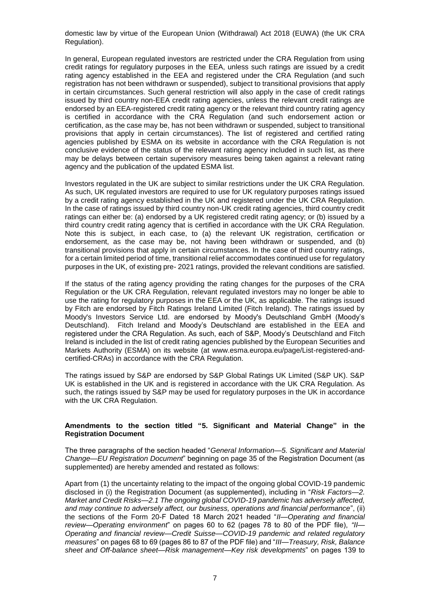domestic law by virtue of the European Union (Withdrawal) Act 2018 (EUWA) (the UK CRA Regulation).

In general, European regulated investors are restricted under the CRA Regulation from using credit ratings for regulatory purposes in the EEA, unless such ratings are issued by a credit rating agency established in the EEA and registered under the CRA Regulation (and such registration has not been withdrawn or suspended), subject to transitional provisions that apply in certain circumstances. Such general restriction will also apply in the case of credit ratings issued by third country non-EEA credit rating agencies, unless the relevant credit ratings are endorsed by an EEA-registered credit rating agency or the relevant third country rating agency is certified in accordance with the CRA Regulation (and such endorsement action or certification, as the case may be, has not been withdrawn or suspended, subject to transitional provisions that apply in certain circumstances). The list of registered and certified rating agencies published by ESMA on its website in accordance with the CRA Regulation is not conclusive evidence of the status of the relevant rating agency included in such list, as there may be delays between certain supervisory measures being taken against a relevant rating agency and the publication of the updated ESMA list.

Investors regulated in the UK are subject to similar restrictions under the UK CRA Regulation. As such, UK regulated investors are required to use for UK regulatory purposes ratings issued by a credit rating agency established in the UK and registered under the UK CRA Regulation. In the case of ratings issued by third country non-UK credit rating agencies, third country credit ratings can either be: (a) endorsed by a UK registered credit rating agency; or (b) issued by a third country credit rating agency that is certified in accordance with the UK CRA Regulation. Note this is subject, in each case, to (a) the relevant UK registration, certification or endorsement, as the case may be, not having been withdrawn or suspended, and (b) transitional provisions that apply in certain circumstances. In the case of third country ratings, for a certain limited period of time, transitional relief accommodates continued use for regulatory purposes in the UK, of existing pre- 2021 ratings, provided the relevant conditions are satisfied.

If the status of the rating agency providing the rating changes for the purposes of the CRA Regulation or the UK CRA Regulation, relevant regulated investors may no longer be able to use the rating for regulatory purposes in the EEA or the UK, as applicable. The ratings issued by Fitch are endorsed by Fitch Ratings Ireland Limited (Fitch Ireland). The ratings issued by Moody's Investors Service Ltd. are endorsed by Moody's Deutschland GmbH (Moody's Deutschland). Fitch Ireland and Moody's Deutschland are established in the EEA and registered under the CRA Regulation. As such, each of S&P, Moody's Deutschland and Fitch Ireland is included in the list of credit rating agencies published by the European Securities and Markets Authority (ESMA) on its website (at www.esma.europa.eu/page/List-registered-andcertified-CRAs) in accordance with the CRA Regulation.

The ratings issued by S&P are endorsed by S&P Global Ratings UK Limited (S&P UK). S&P UK is established in the UK and is registered in accordance with the UK CRA Regulation. As such, the ratings issued by S&P may be used for regulatory purposes in the UK in accordance with the UK CRA Regulation.

## **Amendments to the section titled "5. Significant and Material Change" in the Registration Document**

The three paragraphs of the section headed "*General Information—5. Significant and Material Change—EU Registration Document*" beginning on page 35 of the Registration Document (as supplemented) are hereby amended and restated as follows:

Apart from (1) the uncertainty relating to the impact of the ongoing global COVID-19 pandemic disclosed in (i) the Registration Document (as supplemented), including in "*Risk Factors—2. Market and Credit Risks—2.1 The ongoing global COVID-19 pandemic has adversely affected, and may continue to adversely affect, our business, operations and financial performance*", (ii) the sections of the Form 20-F Dated 18 March 2021 headed "*II—Operating and financial review—Operating environment*" on pages 60 to 62 (pages 78 to 80 of the PDF file), *"II— Operating and financial review—Credit Suisse—COVID-19 pandemic and related regulatory measures*" on pages 68 to 69 (pages 86 to 87 of the PDF file) and "*III—Treasury, Risk, Balance sheet and Off-balance sheet—Risk management—Key risk developments*" on pages 139 to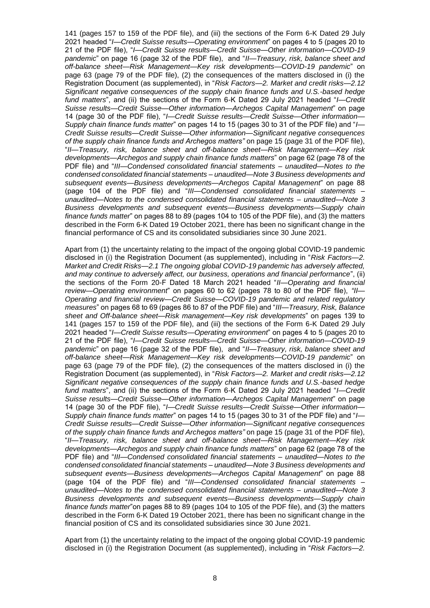141 (pages 157 to 159 of the PDF file), and (iii) the sections of the Form 6-K Dated 29 July 2021 headed "*I—Credit Suisse results—Operating environment*" on pages 4 to 5 (pages 20 to 21 of the PDF file), "*I—Credit Suisse results—Credit Suisse—Other information—COVID-19 pandemic*" on page 16 (page 32 of the PDF file), and "*II—Treasury, risk, balance sheet and off-balance sheet—Risk Management—Key risk developments—COVID-19 pandemic*" on page 63 (page 79 of the PDF file), (2) the consequences of the matters disclosed in (i) the Registration Document (as supplemented), in "*Risk Factors—2. Market and credit risks—2.12 Significant negative consequences of the supply chain finance funds and U.S.-based hedge fund matters*", and (ii) the sections of the Form 6-K Dated 29 July 2021 headed "*I—Credit Suisse results—Credit Suisse—Other information—Archegos Capital Management*" on page 14 (page 30 of the PDF file), "*I—Credit Suisse results—Credit Suisse—Other information— Supply chain finance funds matter*" on pages 14 to 15 (pages 30 to 31 of the PDF file) and "*I— Credit Suisse results—Credit Suisse—Other information—Significant negative consequences of the supply chain finance funds and Archegos matters"* on page 15 (page 31 of the PDF file), "*II—Treasury, risk, balance sheet and off-balance sheet—Risk Management—Key risk developments—Archegos and supply chain finance funds matters*" on page 62 (page 78 of the PDF file) and "*III—Condensed consolidated financial statements – unaudited—Notes to the condensed consolidated financial statements – unaudited—Note 3 Business developments and subsequent events—Business developments—Archegos Capital Management*" on page 88 (page 104 of the PDF file) and "*III—Condensed consolidated financial statements – unaudited—Notes to the condensed consolidated financial statements – unaudited—Note 3 Business developments and subsequent events—Business developments—Supply chain finance funds matter*" on pages 88 to 89 (pages 104 to 105 of the PDF file), and (3) the matters described in the Form 6-K Dated 19 October 2021, there has been no significant change in the financial performance of CS and its consolidated subsidiaries since 30 June 2021.

Apart from (1) the uncertainty relating to the impact of the ongoing global COVID-19 pandemic disclosed in (i) the Registration Document (as supplemented), including in "*Risk Factors—2. Market and Credit Risks—2.1 The ongoing global COVID-19 pandemic has adversely affected, and may continue to adversely affect, our business, operations and financial performance*", (ii) the sections of the Form 20-F Dated 18 March 2021 headed "*II—Operating and financial review—Operating environment*" on pages 60 to 62 (pages 78 to 80 of the PDF file), *"II— Operating and financial review—Credit Suisse—COVID-19 pandemic and related regulatory measures*" on pages 68 to 69 (pages 86 to 87 of the PDF file) and "*III—Treasury, Risk, Balance sheet and Off-balance sheet—Risk management—Key risk developments*" on pages 139 to 141 (pages 157 to 159 of the PDF file), and (iii) the sections of the Form 6-K Dated 29 July 2021 headed "*I—Credit Suisse results—Operating environment*" on pages 4 to 5 (pages 20 to 21 of the PDF file), "*I—Credit Suisse results—Credit Suisse—Other information—COVID-19 pandemic*" on page 16 (page 32 of the PDF file), and "*II—Treasury, risk, balance sheet and off-balance sheet—Risk Management—Key risk developments—COVID-19 pandemic*" on page 63 (page 79 of the PDF file), (2) the consequences of the matters disclosed in (i) the Registration Document (as supplemented), in "*Risk Factors—2. Market and credit risks—2.12 Significant negative consequences of the supply chain finance funds and U.S.-based hedge fund matters*", and (ii) the sections of the Form 6-K Dated 29 July 2021 headed "*I—Credit Suisse results—Credit Suisse—Other information—Archegos Capital Management*" on page 14 (page 30 of the PDF file), "*I—Credit Suisse results—Credit Suisse—Other information— Supply chain finance funds matter*" on pages 14 to 15 (pages 30 to 31 of the PDF file) and "*I— Credit Suisse results—Credit Suisse—Other information—Significant negative consequences of the supply chain finance funds and Archegos matters"* on page 15 (page 31 of the PDF file), "*II—Treasury, risk, balance sheet and off-balance sheet—Risk Management—Key risk developments—Archegos and supply chain finance funds matters*" on page 62 (page 78 of the PDF file) and "*III—Condensed consolidated financial statements – unaudited—Notes to the condensed consolidated financial statements – unaudited—Note 3 Business developments and subsequent events—Business developments—Archegos Capital Management*" on page 88 (page 104 of the PDF file) and "*III—Condensed consolidated financial statements – unaudited—Notes to the condensed consolidated financial statements – unaudited—Note 3 Business developments and subsequent events—Business developments—Supply chain finance funds matter*"on pages 88 to 89 (pages 104 to 105 of the PDF file), and (3) the matters described in the Form 6-K Dated 19 October 2021, there has been no significant change in the financial position of CS and its consolidated subsidiaries since 30 June 2021.

Apart from (1) the uncertainty relating to the impact of the ongoing global COVID-19 pandemic disclosed in (i) the Registration Document (as supplemented), including in "*Risk Factors—2.*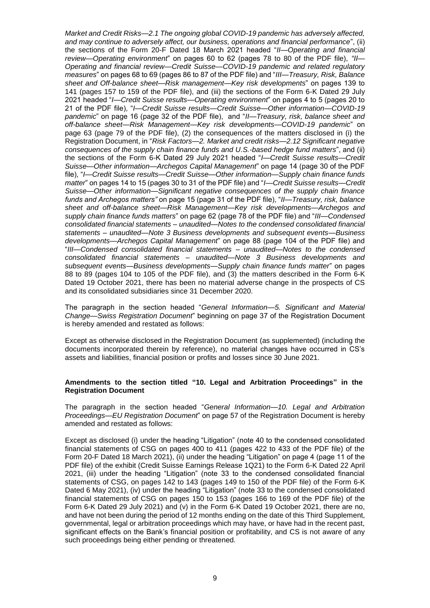*Market and Credit Risks—2.1 The ongoing global COVID-19 pandemic has adversely affected, and may continue to adversely affect, our business, operations and financial performance*", (ii) the sections of the Form 20-F Dated 18 March 2021 headed "*II—Operating and financial review—Operating environment*" on pages 60 to 62 (pages 78 to 80 of the PDF file), *"II— Operating and financial review—Credit Suisse—COVID-19 pandemic and related regulatory measures*" on pages 68 to 69 (pages 86 to 87 of the PDF file) and "*III—Treasury, Risk, Balance sheet and Off-balance sheet—Risk management—Key risk developments*" on pages 139 to 141 (pages 157 to 159 of the PDF file), and (iii) the sections of the Form 6-K Dated 29 July 2021 headed "*I—Credit Suisse results—Operating environment*" on pages 4 to 5 (pages 20 to 21 of the PDF file), "*I—Credit Suisse results—Credit Suisse—Other information—COVID-19 pandemic*" on page 16 (page 32 of the PDF file), and "*II—Treasury, risk, balance sheet and off-balance sheet—Risk Management—Key risk developments—COVID-19 pandemic*" on page 63 (page 79 of the PDF file), (2) the consequences of the matters disclosed in (i) the Registration Document, in "*Risk Factors—2. Market and credit risks—2.12 Significant negative consequences of the supply chain finance funds and U.S.-based hedge fund matters*", and (ii) the sections of the Form 6-K Dated 29 July 2021 headed "*I—Credit Suisse results—Credit Suisse—Other information—Archegos Capital Management*" on page 14 (page 30 of the PDF file), "*I—Credit Suisse results—Credit Suisse—Other information—Supply chain finance funds matter*" on pages 14 to 15 (pages 30 to 31 of the PDF file) and "*I—Credit Suisse results—Credit Suisse—Other information—Significant negative consequences of the supply chain finance funds and Archegos matters"* on page 15 (page 31 of the PDF file), "*II—Treasury, risk, balance sheet and off-balance sheet—Risk Management—Key risk developments—Archegos and supply chain finance funds matters*" on page 62 (page 78 of the PDF file) and "*III—Condensed consolidated financial statements – unaudited—Notes to the condensed consolidated financial statements – unaudited—Note 3 Business developments and subsequent events—Business developments—Archegos Capital Management*" on page 88 (page 104 of the PDF file) and "*III—Condensed consolidated financial statements – unaudited—Notes to the condensed consolidated financial statements – unaudited—Note 3 Business developments and subsequent events—Business developments—Supply chain finance funds matter*" on pages 88 to 89 (pages 104 to 105 of the PDF file), and (3) the matters described in the Form 6-K Dated 19 October 2021, there has been no material adverse change in the prospects of CS and its consolidated subsidiaries since 31 December 2020.

The paragraph in the section headed "*General Information—5. Significant and Material Change—Swiss Registration Document*" beginning on page 37 of the Registration Document is hereby amended and restated as follows:

Except as otherwise disclosed in the Registration Document (as supplemented) (including the documents incorporated therein by reference), no material changes have occurred in CS's assets and liabilities, financial position or profits and losses since 30 June 2021.

#### **Amendments to the section titled "10. Legal and Arbitration Proceedings" in the Registration Document**

The paragraph in the section headed "*General Information—10. Legal and Arbitration Proceedings—EU Registration Document*" on page 57 of the Registration Document is hereby amended and restated as follows:

Except as disclosed (i) under the heading "Litigation" (note 40 to the condensed consolidated financial statements of CSG on pages 400 to 411 (pages 422 to 433 of the PDF file) of the Form 20-F Dated 18 March 2021), (ii) under the heading "Litigation" on page 4 (page 11 of the PDF file) of the exhibit (Credit Suisse Earnings Release 1Q21) to the Form 6-K Dated 22 April 2021, (iii) under the heading "Litigation" (note 33 to the condensed consolidated financial statements of CSG, on pages 142 to 143 (pages 149 to 150 of the PDF file) of the Form 6-K Dated 6 May 2021), (iv) under the heading "Litigation" (note 33 to the condensed consolidated financial statements of CSG on pages 150 to 153 (pages 166 to 169 of the PDF file) of the Form 6-K Dated 29 July 2021) and (v) in the Form 6-K Dated 19 October 2021, there are no, and have not been during the period of 12 months ending on the date of this Third Supplement, governmental, legal or arbitration proceedings which may have, or have had in the recent past, significant effects on the Bank's financial position or profitability, and CS is not aware of any such proceedings being either pending or threatened.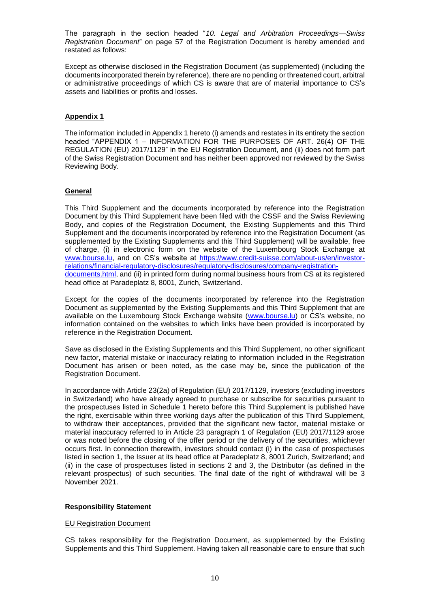The paragraph in the section headed "*10. Legal and Arbitration Proceedings—Swiss Registration Document*" on page 57 of the Registration Document is hereby amended and restated as follows:

Except as otherwise disclosed in the Registration Document (as supplemented) (including the documents incorporated therein by reference), there are no pending or threatened court, arbitral or administrative proceedings of which CS is aware that are of material importance to CS's assets and liabilities or profits and losses.

## **Appendix 1**

The information included in Appendix 1 hereto (i) amends and restates in its entirety the section headed "APPENDIX 1 – INFORMATION FOR THE PURPOSES OF ART. 26(4) OF THE REGULATION (EU) 2017/1129" in the EU Registration Document, and (ii) does not form part of the Swiss Registration Document and has neither been approved nor reviewed by the Swiss Reviewing Body.

## **General**

This Third Supplement and the documents incorporated by reference into the Registration Document by this Third Supplement have been filed with the CSSF and the Swiss Reviewing Body, and copies of the Registration Document, the Existing Supplements and this Third Supplement and the documents incorporated by reference into the Registration Document (as supplemented by the Existing Supplements and this Third Supplement) will be available, free of charge, (i) in electronic form on the website of the Luxembourg Stock Exchange at [www.bourse.lu,](http://www.bourse.lu/) and on CS's website at [https://www.credit-suisse.com/about-us/en/investor](https://www.credit-suisse.com/about-us/en/investor-relations/financial-regulatory-disclosures/regulatory-disclosures/company-registration-documents.html)[relations/financial-regulatory-disclosures/regulatory-disclosures/company-registration](https://www.credit-suisse.com/about-us/en/investor-relations/financial-regulatory-disclosures/regulatory-disclosures/company-registration-documents.html)[documents.html,](https://www.credit-suisse.com/about-us/en/investor-relations/financial-regulatory-disclosures/regulatory-disclosures/company-registration-documents.html) and (ii) in printed form during normal business hours from CS at its registered head office at Paradeplatz 8, 8001, Zurich, Switzerland.

Except for the copies of the documents incorporated by reference into the Registration Document as supplemented by the Existing Supplements and this Third Supplement that are available on the Luxembourg Stock Exchange website [\(www.bourse.lu\)](http://www.bourse.lu/) or CS's website, no information contained on the websites to which links have been provided is incorporated by reference in the Registration Document.

Save as disclosed in the Existing Supplements and this Third Supplement, no other significant new factor, material mistake or inaccuracy relating to information included in the Registration Document has arisen or been noted, as the case may be, since the publication of the Registration Document.

In accordance with Article 23(2a) of Regulation (EU) 2017/1129, investors (excluding investors in Switzerland) who have already agreed to purchase or subscribe for securities pursuant to the prospectuses listed in Schedule 1 hereto before this Third Supplement is published have the right, exercisable within three working days after the publication of this Third Supplement, to withdraw their acceptances, provided that the significant new factor, material mistake or material inaccuracy referred to in Article 23 paragraph 1 of Regulation (EU) 2017/1129 arose or was noted before the closing of the offer period or the delivery of the securities, whichever occurs first. In connection therewith, investors should contact (i) in the case of prospectuses listed in section 1, the Issuer at its head office at Paradeplatz 8, 8001 Zurich, Switzerland; and (ii) in the case of prospectuses listed in sections 2 and 3, the Distributor (as defined in the relevant prospectus) of such securities. The final date of the right of withdrawal will be 3 November 2021.

#### **Responsibility Statement**

#### EU Registration Document

CS takes responsibility for the Registration Document, as supplemented by the Existing Supplements and this Third Supplement. Having taken all reasonable care to ensure that such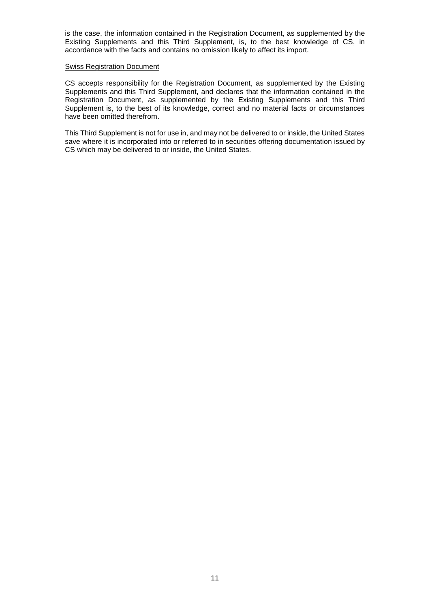is the case, the information contained in the Registration Document, as supplemented by the Existing Supplements and this Third Supplement, is, to the best knowledge of CS, in accordance with the facts and contains no omission likely to affect its import.

#### Swiss Registration Document

CS accepts responsibility for the Registration Document, as supplemented by the Existing Supplements and this Third Supplement, and declares that the information contained in the Registration Document, as supplemented by the Existing Supplements and this Third Supplement is, to the best of its knowledge, correct and no material facts or circumstances have been omitted therefrom.

This Third Supplement is not for use in, and may not be delivered to or inside, the United States save where it is incorporated into or referred to in securities offering documentation issued by CS which may be delivered to or inside, the United States.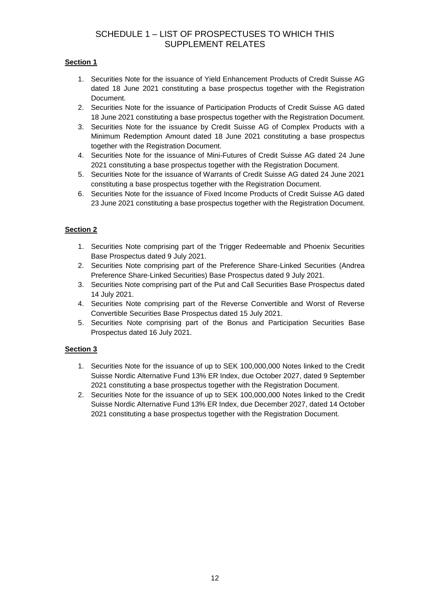# SCHEDULE 1 – LIST OF PROSPECTUSES TO WHICH THIS SUPPLEMENT RELATES

# **Section 1**

- 1. Securities Note for the issuance of Yield Enhancement Products of Credit Suisse AG dated 18 June 2021 constituting a base prospectus together with the Registration Document.
- 2. Securities Note for the issuance of Participation Products of Credit Suisse AG dated 18 June 2021 constituting a base prospectus together with the Registration Document.
- 3. Securities Note for the issuance by Credit Suisse AG of Complex Products with a Minimum Redemption Amount dated 18 June 2021 constituting a base prospectus together with the Registration Document.
- 4. Securities Note for the issuance of Mini-Futures of Credit Suisse AG dated 24 June 2021 constituting a base prospectus together with the Registration Document.
- 5. Securities Note for the issuance of Warrants of Credit Suisse AG dated 24 June 2021 constituting a base prospectus together with the Registration Document.
- 6. Securities Note for the issuance of Fixed Income Products of Credit Suisse AG dated 23 June 2021 constituting a base prospectus together with the Registration Document.

# **Section 2**

- 1. Securities Note comprising part of the Trigger Redeemable and Phoenix Securities Base Prospectus dated 9 July 2021.
- 2. Securities Note comprising part of the Preference Share-Linked Securities (Andrea Preference Share-Linked Securities) Base Prospectus dated 9 July 2021.
- 3. Securities Note comprising part of the Put and Call Securities Base Prospectus dated 14 July 2021.
- 4. Securities Note comprising part of the Reverse Convertible and Worst of Reverse Convertible Securities Base Prospectus dated 15 July 2021.
- 5. Securities Note comprising part of the Bonus and Participation Securities Base Prospectus dated 16 July 2021.

# **Section 3**

- 1. Securities Note for the issuance of up to SEK 100,000,000 Notes linked to the Credit Suisse Nordic Alternative Fund 13% ER Index, due October 2027, dated 9 September 2021 constituting a base prospectus together with the Registration Document.
- 2. Securities Note for the issuance of up to SEK 100,000,000 Notes linked to the Credit Suisse Nordic Alternative Fund 13% ER Index, due December 2027, dated 14 October 2021 constituting a base prospectus together with the Registration Document.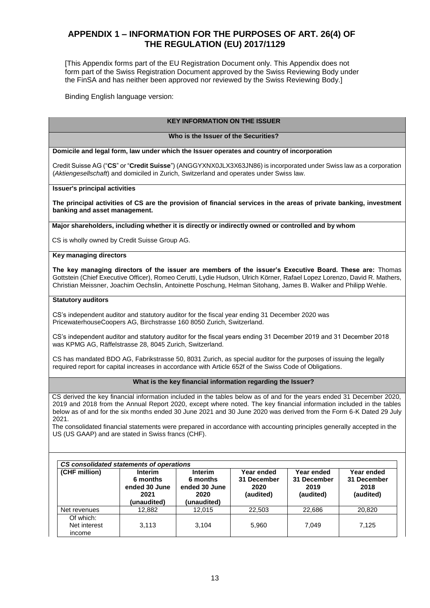# **APPENDIX 1 – INFORMATION FOR THE PURPOSES OF ART. 26(4) OF THE REGULATION (EU) 2017/1129**

[This Appendix forms part of the EU Registration Document only. This Appendix does not form part of the Swiss Registration Document approved by the Swiss Reviewing Body under the FinSA and has neither been approved nor reviewed by the Swiss Reviewing Body.]

Binding English language version:

#### **KEY INFORMATION ON THE ISSUER**

#### **Who is the Issuer of the Securities?**

**Domicile and legal form, law under which the Issuer operates and country of incorporation**

Credit Suisse AG ("**CS**" or "**Credit Suisse**") (ANGGYXNX0JLX3X63JN86) is incorporated under Swiss law as a corporation (*Aktiengesellschaft*) and domiciled in Zurich, Switzerland and operates under Swiss law.

**Issuer's principal activities**

**The principal activities of CS are the provision of financial services in the areas of private banking, investment banking and asset management.**

**Major shareholders, including whether it is directly or indirectly owned or controlled and by whom**

CS is wholly owned by Credit Suisse Group AG.

#### **Key managing directors**

**The key managing directors of the issuer are members of the issuer's Executive Board. These are:** Thomas Gottstein (Chief Executive Officer), Romeo Cerutti, Lydie Hudson, Ulrich Körner, Rafael Lopez Lorenzo, David R. Mathers, Christian Meissner, Joachim Oechslin, Antoinette Poschung, Helman Sitohang, James B. Walker and Philipp Wehle.

#### **Statutory auditors**

CS's independent auditor and statutory auditor for the fiscal year ending 31 December 2020 was PricewaterhouseCoopers AG, Birchstrasse 160 8050 Zurich, Switzerland.

CS's independent auditor and statutory auditor for the fiscal years ending 31 December 2019 and 31 December 2018 was KPMG AG, Räffelstrasse 28, 8045 Zurich, Switzerland.

CS has mandated BDO AG, Fabrikstrasse 50, 8031 Zurich, as special auditor for the purposes of issuing the legally required report for capital increases in accordance with Article 652f of the Swiss Code of Obligations.

#### **What is the key financial information regarding the Issuer?**

CS derived the key financial information included in the tables below as of and for the years ended 31 December 2020, 2019 and 2018 from the Annual Report 2020, except where noted. The key financial information included in the tables below as of and for the six months ended 30 June 2021 and 30 June 2020 was derived from the Form 6-K Dated 29 July 2021.

The consolidated financial statements were prepared in accordance with accounting principles generally accepted in the US (US GAAP) and are stated in Swiss francs (CHF).

| (CHF million)                       | <b>Interim</b><br>6 months<br>ended 30 June<br>2021<br>(unaudited) | <b>Interim</b><br>6 months<br>ended 30 June<br>2020<br>(unaudited) | Year ended<br>31 December<br>2020<br>(audited) | Year ended<br>31 December<br>2019<br>(audited) | Year ended<br>31 December<br>2018<br>(audited) |
|-------------------------------------|--------------------------------------------------------------------|--------------------------------------------------------------------|------------------------------------------------|------------------------------------------------|------------------------------------------------|
| Net revenues                        | 12,882                                                             | 12,015                                                             | 22,503                                         | 22,686                                         | 20,820                                         |
| Of which:<br>Net interest<br>income | 3.113                                                              | 3.104                                                              | 5,960                                          | 7.049                                          | 7.125                                          |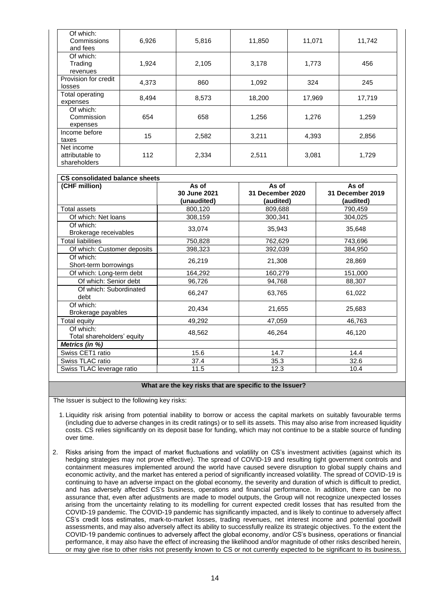| Of which:<br>Commissions<br>and fees          | 6,926 | 5,816 | 11,850 | 11,071 | 11,742 |
|-----------------------------------------------|-------|-------|--------|--------|--------|
| Of which:<br>Trading<br>revenues              | 1,924 | 2,105 | 3,178  | 1,773  | 456    |
| Provision for credit<br>losses                | 4,373 | 860   | 1,092  | 324    | 245    |
| Total operating<br>expenses                   | 8,494 | 8,573 | 18,200 | 17,969 | 17,719 |
| Of which:<br>Commission<br>expenses           | 654   | 658   | 1,256  | 1,276  | 1,259  |
| Income before<br>taxes                        | 15    | 2,582 | 3,211  | 4,393  | 2,856  |
| Net income<br>attributable to<br>shareholders | 112   | 2,334 | 2,511  | 3,081  | 1,729  |

| <b>CS consolidated balance sheets</b>   |              |                  |                  |  |  |
|-----------------------------------------|--------------|------------------|------------------|--|--|
| (CHF million)                           | As of        | As of            | As of            |  |  |
|                                         | 30 June 2021 | 31 December 2020 | 31 December 2019 |  |  |
|                                         | (unaudited)  | (audited)        | (audited)        |  |  |
| Total assets                            | 800,120      | 809,688          | 790,459          |  |  |
| Of which: Net loans                     | 308,159      | 300,341          | 304,025          |  |  |
| Of which:<br>Brokerage receivables      | 33,074       | 35,943           | 35,648           |  |  |
| <b>Total liabilities</b>                | 750,828      | 762,629          | 743,696          |  |  |
| Of which: Customer deposits             | 398,323      | 392,039          | 384,950          |  |  |
| Of which:<br>Short-term borrowings      | 26,219       | 21,308           | 28,869           |  |  |
| Of which: Long-term debt                | 164,292      | 160,279          | 151,000          |  |  |
| Of which: Senior debt                   | 96,726       | 94,768           | 88,307           |  |  |
| Of which: Subordinated<br>debt          | 66,247       | 63,765           | 61,022           |  |  |
| Of which:<br>Brokerage payables         | 20,434       | 21,655           | 25,683           |  |  |
| Total equity                            | 49,292       | 47,059           | 46,763           |  |  |
| Of which:<br>Total shareholders' equity | 48,562       | 46,264           | 46,120           |  |  |
| Metrics (in %)                          |              |                  |                  |  |  |
| Swiss CET1 ratio                        | 15.6         | 14.7             | 14.4             |  |  |
| Swiss TLAC ratio                        | 37.4         | 35.3             | 32.6             |  |  |
| Swiss TLAC leverage ratio               | 11.5         | 12.3             | 10.4             |  |  |

#### **What are the key risks that are specific to the Issuer?**

The Issuer is subject to the following key risks:

- 1. Liquidity risk arising from potential inability to borrow or access the capital markets on suitably favourable terms (including due to adverse changes in its credit ratings) or to sell its assets. This may also arise from increased liquidity costs. CS relies significantly on its deposit base for funding, which may not continue to be a stable source of funding over time.
- 2. Risks arising from the impact of market fluctuations and volatility on CS's investment activities (against which its hedging strategies may not prove effective). The spread of COVID-19 and resulting tight government controls and containment measures implemented around the world have caused severe disruption to global supply chains and economic activity, and the market has entered a period of significantly increased volatility. The spread of COVID-19 is continuing to have an adverse impact on the global economy, the severity and duration of which is difficult to predict, and has adversely affected CS's business, operations and financial performance. In addition, there can be no assurance that, even after adjustments are made to model outputs, the Group will not recognize unexpected losses arising from the uncertainty relating to its modelling for current expected credit losses that has resulted from the COVID-19 pandemic. The COVID-19 pandemic has significantly impacted, and is likely to continue to adversely affect CS's credit loss estimates, mark-to-market losses, trading revenues, net interest income and potential goodwill assessments, and may also adversely affect its ability to successfully realize its strategic objectives. To the extent the COVID-19 pandemic continues to adversely affect the global economy, and/or CS's business, operations or financial performance, it may also have the effect of increasing the likelihood and/or magnitude of other risks described herein, or may give rise to other risks not presently known to CS or not currently expected to be significant to its business,